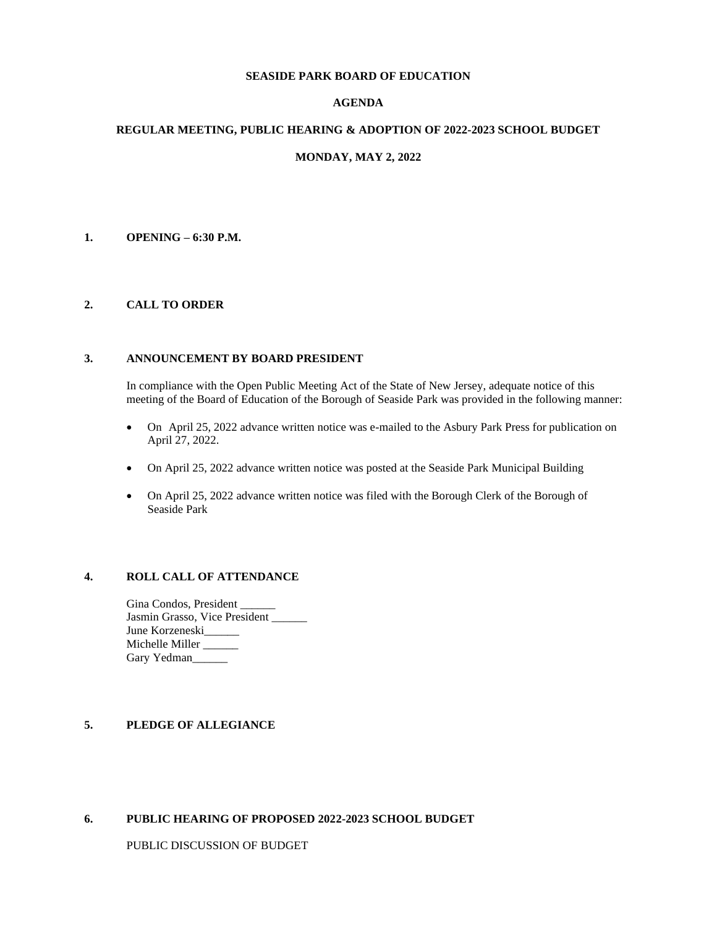### **SEASIDE PARK BOARD OF EDUCATION**

# **AGENDA**

### **REGULAR MEETING, PUBLIC HEARING & ADOPTION OF 2022-2023 SCHOOL BUDGET**

## **MONDAY, MAY 2, 2022**

## **1. OPENING – 6:30 P.M.**

## **2. CALL TO ORDER**

### **3. ANNOUNCEMENT BY BOARD PRESIDENT**

In compliance with the Open Public Meeting Act of the State of New Jersey, adequate notice of this meeting of the Board of Education of the Borough of Seaside Park was provided in the following manner:

- On April 25, 2022 advance written notice was e-mailed to the Asbury Park Press for publication on April 27, 2022.
- On April 25, 2022 advance written notice was posted at the Seaside Park Municipal Building
- On April 25, 2022 advance written notice was filed with the Borough Clerk of the Borough of Seaside Park

## **4. ROLL CALL OF ATTENDANCE**

Gina Condos, President \_\_\_\_\_\_ Jasmin Grasso, Vice President \_\_\_\_\_\_ June Korzeneski Michelle Miller \_\_\_\_\_ Gary Yedman

## **5. PLEDGE OF ALLEGIANCE**

### **6. PUBLIC HEARING OF PROPOSED 2022-2023 SCHOOL BUDGET**

PUBLIC DISCUSSION OF BUDGET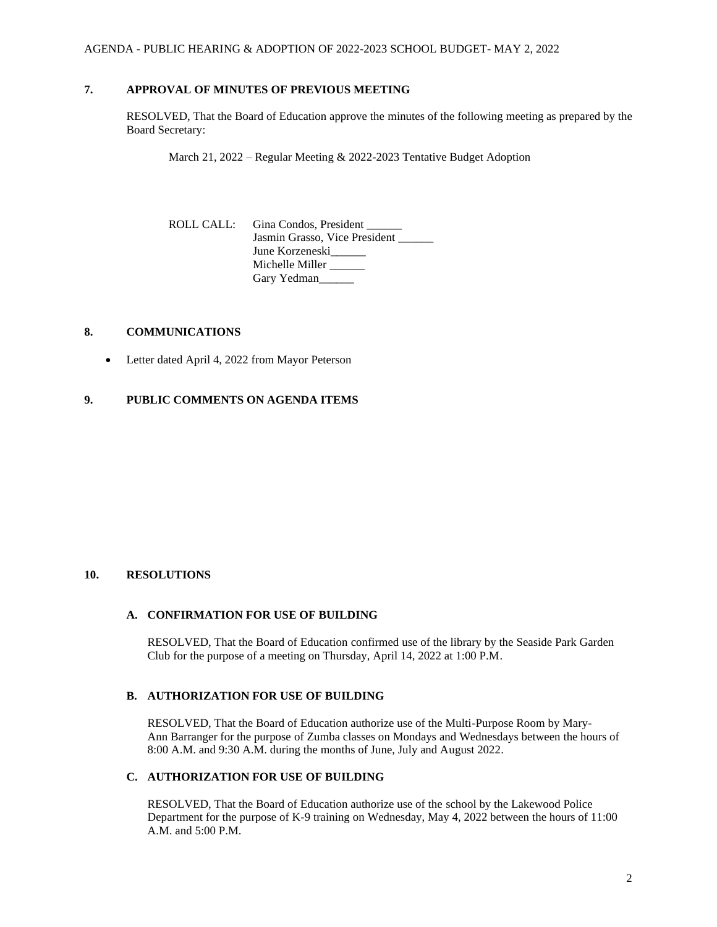# **7. APPROVAL OF MINUTES OF PREVIOUS MEETING**

RESOLVED, That the Board of Education approve the minutes of the following meeting as prepared by the Board Secretary:

March 21, 2022 – Regular Meeting & 2022-2023 Tentative Budget Adoption

ROLL CALL: Gina Condos, President \_\_\_\_\_\_ Jasmin Grasso, Vice President June Korzeneski Michelle Miller \_\_\_\_\_\_ Gary Yedman\_\_\_\_\_\_

### **8. COMMUNICATIONS**

• Letter dated April 4, 2022 from Mayor Peterson

# **9. PUBLIC COMMENTS ON AGENDA ITEMS**

## **10. RESOLUTIONS**

### **A. CONFIRMATION FOR USE OF BUILDING**

RESOLVED, That the Board of Education confirmed use of the library by the Seaside Park Garden Club for the purpose of a meeting on Thursday, April 14, 2022 at 1:00 P.M.

# **B. AUTHORIZATION FOR USE OF BUILDING**

RESOLVED, That the Board of Education authorize use of the Multi-Purpose Room by Mary-Ann Barranger for the purpose of Zumba classes on Mondays and Wednesdays between the hours of 8:00 A.M. and 9:30 A.M. during the months of June, July and August 2022.

### **C. AUTHORIZATION FOR USE OF BUILDING**

RESOLVED, That the Board of Education authorize use of the school by the Lakewood Police Department for the purpose of K-9 training on Wednesday, May 4, 2022 between the hours of 11:00 A.M. and 5:00 P.M.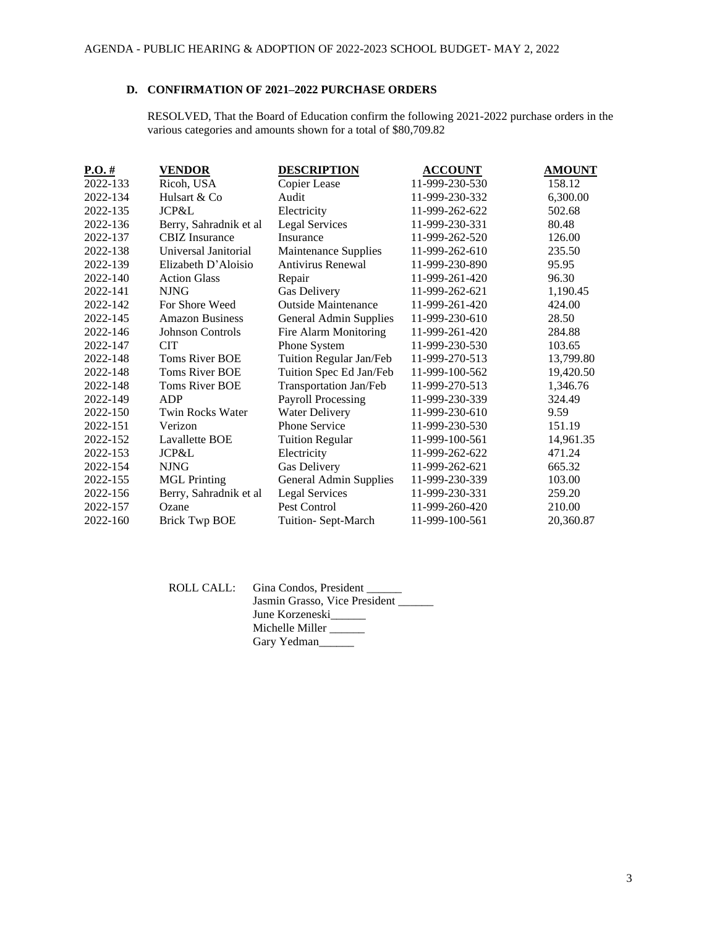# **D. CONFIRMATION OF 2021–2022 PURCHASE ORDERS**

RESOLVED, That the Board of Education confirm the following 2021-2022 purchase orders in the various categories and amounts shown for a total of \$80,709.82

| $P.O. \#$ | VENDOR                  | <b>DESCRIPTION</b>         | <b>ACCOUNT</b> | <b>AMOUNT</b> |
|-----------|-------------------------|----------------------------|----------------|---------------|
| 2022-133  | Ricoh, USA              | Copier Lease               | 11-999-230-530 | 158.12        |
| 2022-134  | Hulsart & Co            | Audit                      | 11-999-230-332 | 6,300.00      |
| 2022-135  | JCP&L                   | Electricity                | 11-999-262-622 | 502.68        |
| 2022-136  | Berry, Sahradnik et al  | <b>Legal Services</b>      | 11-999-230-331 | 80.48         |
| 2022-137  | <b>CBIZ</b> Insurance   | Insurance                  | 11-999-262-520 | 126.00        |
| 2022-138  | Universal Janitorial    | Maintenance Supplies       | 11-999-262-610 | 235.50        |
| 2022-139  | Elizabeth D'Aloisio     | Antivirus Renewal          | 11-999-230-890 | 95.95         |
| 2022-140  | <b>Action Glass</b>     | Repair                     | 11-999-261-420 | 96.30         |
| 2022-141  | <b>NJNG</b>             | Gas Delivery               | 11-999-262-621 | 1,190.45      |
| 2022-142  | For Shore Weed          | <b>Outside Maintenance</b> | 11-999-261-420 | 424.00        |
| 2022-145  | <b>Amazon Business</b>  | General Admin Supplies     | 11-999-230-610 | 28.50         |
| 2022-146  | Johnson Controls        | Fire Alarm Monitoring      | 11-999-261-420 | 284.88        |
| 2022-147  | <b>CIT</b>              | Phone System               | 11-999-230-530 | 103.65        |
| 2022-148  | <b>Toms River BOE</b>   | Tuition Regular Jan/Feb    | 11-999-270-513 | 13,799.80     |
| 2022-148  | <b>Toms River BOE</b>   | Tuition Spec Ed Jan/Feb    | 11-999-100-562 | 19,420.50     |
| 2022-148  | Toms River BOE          | Transportation Jan/Feb     | 11-999-270-513 | 1,346.76      |
| 2022-149  | ADP                     | <b>Payroll Processing</b>  | 11-999-230-339 | 324.49        |
| 2022-150  | <b>Twin Rocks Water</b> | <b>Water Delivery</b>      | 11-999-230-610 | 9.59          |
| 2022-151  | Verizon                 | Phone Service              | 11-999-230-530 | 151.19        |
| 2022-152  | Lavallette BOE          | <b>Tuition Regular</b>     | 11-999-100-561 | 14,961.35     |
| 2022-153  | JCP&L                   | Electricity                | 11-999-262-622 | 471.24        |
| 2022-154  | <b>NJNG</b>             | Gas Delivery               | 11-999-262-621 | 665.32        |
| 2022-155  | <b>MGL</b> Printing     | General Admin Supplies     | 11-999-230-339 | 103.00        |
| 2022-156  | Berry, Sahradnik et al  | Legal Services             | 11-999-230-331 | 259.20        |
| 2022-157  | Ozane                   | Pest Control               | 11-999-260-420 | 210.00        |
| 2022-160  | <b>Brick Twp BOE</b>    | Tuition- Sept-March        | 11-999-100-561 | 20,360.87     |

| ROLL CALL: Gina Condos, President |
|-----------------------------------|
| Jasmin Grasso, Vice President     |
| June Korzeneski                   |
| Michelle Miller                   |
| Gary Yedman                       |
|                                   |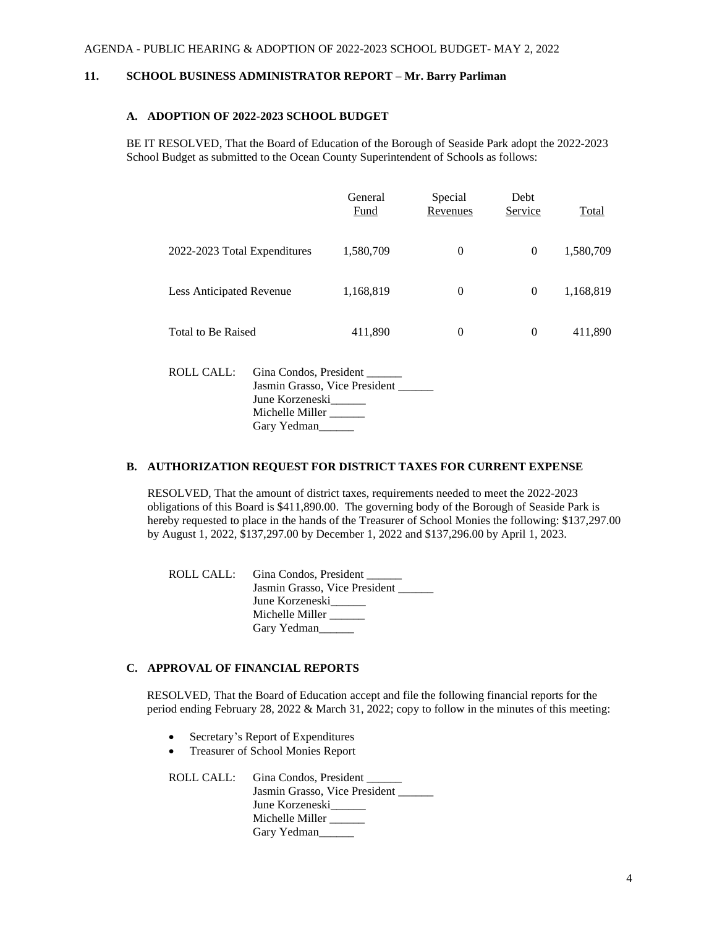### **11. SCHOOL BUSINESS ADMINISTRATOR REPORT – Mr. Barry Parliman**

## **A. ADOPTION OF 2022-2023 SCHOOL BUDGET**

BE IT RESOLVED, That the Board of Education of the Borough of Seaside Park adopt the 2022-2023 School Budget as submitted to the Ocean County Superintendent of Schools as follows:

|                                      | General<br>Fund | Special<br>Revenues | Debt<br>Service | Total     |
|--------------------------------------|-----------------|---------------------|-----------------|-----------|
| 2022-2023 Total Expenditures         | 1,580,709       | $\boldsymbol{0}$    | $\theta$        | 1,580,709 |
| Less Anticipated Revenue             | 1,168,819       | $\theta$            | $\theta$        | 1,168,819 |
| Total to Be Raised                   | 411,890         | $\theta$            | $\theta$        | 411,890   |
| Gina Condos, President<br>ROLL CALL: |                 |                     |                 |           |

Jasmin Grasso, Vice President \_\_\_\_\_\_ June Korzeneski\_\_\_\_\_\_ Michelle Miller \_\_\_\_\_\_\_ Gary Yedman\_\_\_\_\_\_

### **B. AUTHORIZATION REQUEST FOR DISTRICT TAXES FOR CURRENT EXPENSE**

RESOLVED, That the amount of district taxes, requirements needed to meet the 2022-2023 obligations of this Board is \$411,890.00. The governing body of the Borough of Seaside Park is hereby requested to place in the hands of the Treasurer of School Monies the following: \$137,297.00 by August 1, 2022, \$137,297.00 by December 1, 2022 and \$137,296.00 by April 1, 2023.

ROLL CALL: Gina Condos, President \_\_\_\_\_\_ Jasmin Grasso, Vice President June Korzeneski Michelle Miller \_\_\_\_\_\_ Gary Yedman\_\_\_\_\_\_\_

### **C. APPROVAL OF FINANCIAL REPORTS**

RESOLVED, That the Board of Education accept and file the following financial reports for the period ending February 28, 2022 & March 31, 2022; copy to follow in the minutes of this meeting:

- Secretary's Report of Expenditures
- Treasurer of School Monies Report

ROLL CALL: Gina Condos, President \_\_\_\_\_\_ Jasmin Grasso, Vice President June Korzeneski\_\_\_\_\_\_ Michelle Miller \_\_\_\_\_\_\_ Gary Yedman\_\_\_\_\_\_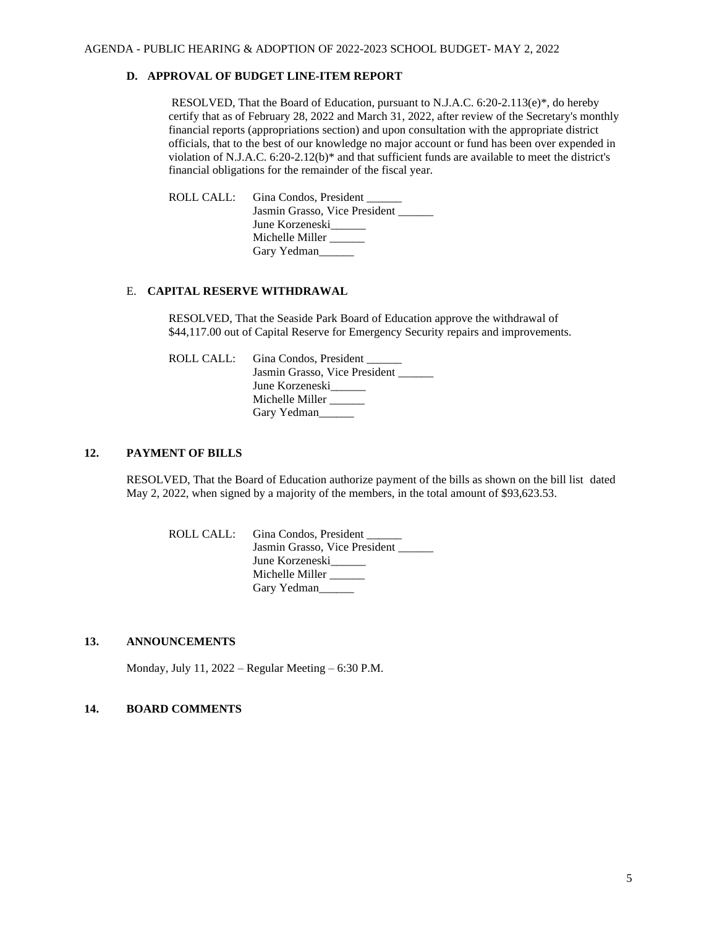## **D. APPROVAL OF BUDGET LINE-ITEM REPORT**

RESOLVED, That the Board of Education, pursuant to N.J.A.C. 6:20-2.113(e)\*, do hereby certify that as of February 28, 2022 and March 31, 2022, after review of the Secretary's monthly financial reports (appropriations section) and upon consultation with the appropriate district officials, that to the best of our knowledge no major account or fund has been over expended in violation of N.J.A.C. 6:20-2.12(b)\* and that sufficient funds are available to meet the district's financial obligations for the remainder of the fiscal year.

ROLL CALL: Gina Condos, President Jasmin Grasso, Vice President \_\_\_\_\_\_ June Korzeneski\_\_\_\_\_\_ Michelle Miller \_\_\_\_\_\_ Gary Yedman

### E. **CAPITAL RESERVE WITHDRAWAL**

RESOLVED, That the Seaside Park Board of Education approve the withdrawal of \$44,117.00 out of Capital Reserve for Emergency Security repairs and improvements.

ROLL CALL: Gina Condos, President Jasmin Grasso, Vice President \_\_\_\_\_\_ June Korzeneski\_\_\_\_\_\_ Michelle Miller \_\_\_\_\_ Gary Yedman

### **12. PAYMENT OF BILLS**

RESOLVED, That the Board of Education authorize payment of the bills as shown on the bill list dated May 2, 2022, when signed by a majority of the members, in the total amount of \$93,623.53.

ROLL CALL: Gina Condos, President \_\_\_\_\_\_ Jasmin Grasso, Vice President June Korzeneski\_\_\_\_\_\_ Michelle Miller \_\_\_\_\_\_ Gary Yedman\_\_\_\_\_

## **13. ANNOUNCEMENTS**

Monday, July 11, 2022 – Regular Meeting – 6:30 P.M.

# **14. BOARD COMMENTS**